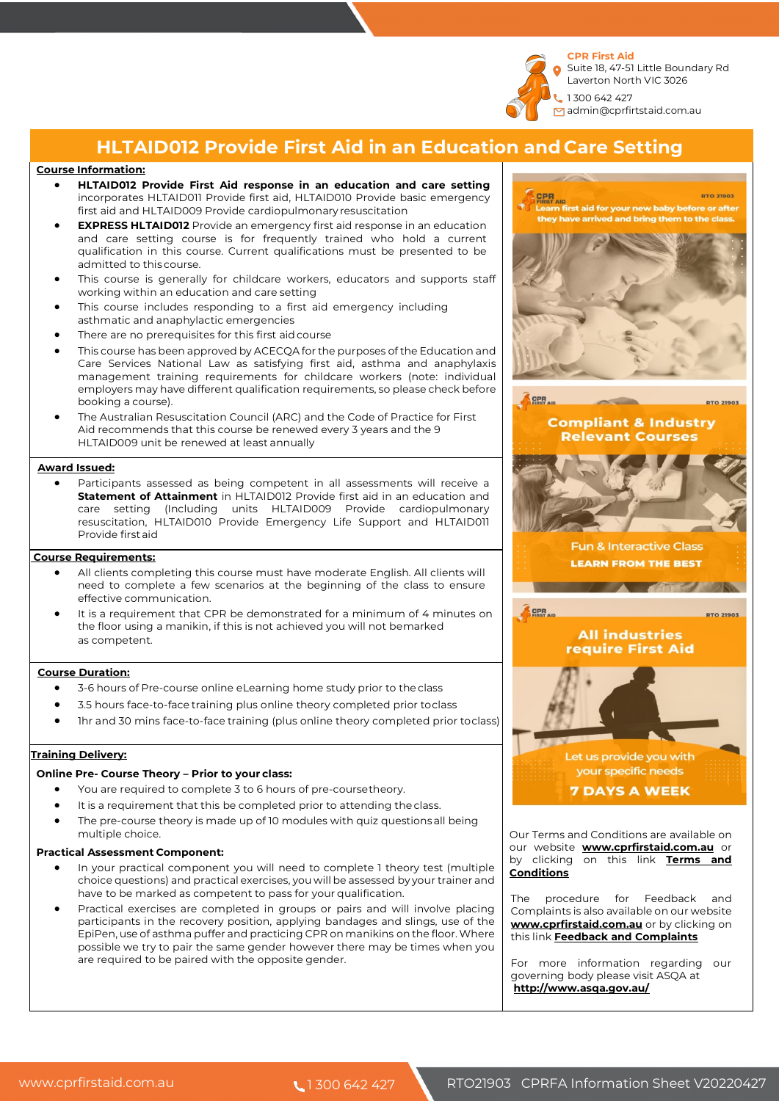

Laverton North VIC 3026 admin@cprfirtstaid.com.au

# **HLTAID012 Provide First Aid in an Education and Care Setting**

### **Course Information:**

- **HLTAID012 Provide First Aid response in an education and care setting**  incorporates HLTAID011 Provide first aid, HLTAID010 Provide basic emergency first aid and HLTAID009 Provide cardiopulmonary resuscitation
- **EXPRESS HLTAID012** Provide an emergency first aid response in an education and care setting course is for frequently trained who hold a current qualification in this course. Current qualifications must be presented to be admitted to this course.
- This course is generally for childcare workers, educators and supports staff working within an education and care setting
- This course includes responding to a first aid emergency including asthmatic and anaphylactic emergencies
- There are no prerequisites for this first aid course
- This course has been approved by ACECQA for the purposes of the Education and Care Services National Law as satisfying first aid, asthma and anaphylaxis management training requirements for childcare workers (note: individual employers may have different qualification requirements, so please check before booking a course).
- The Australian Resuscitation Council (ARC) and the Code of Practice for First Aid recommends that this course be renewed every 3 years and the 9 HLTAID009 unit be renewed at least annually

#### **Award Issued:**

• Participants assessed as being competent in all assessments will receive a **Statement of Attainment** in HLTAID012 Provide first aid in an education and care setting (Including units HLTAID009 Provide cardiopulmonary resuscitation, HLTAID010 Provide Emergency Life Support and HLTAID011 Provide firstaid

#### **Course Requirements:**

- All clients completing this course must have moderate English. All clients will need to complete a few scenarios at the beginning of the class to ensure effective communication.
- It is a requirement that CPR be demonstrated for a minimum of 4 minutes on the floor using a manikin, if this is not achieved you will not bemarked as competent.

#### **Course Duration:**

- 3-6 hours of Pre-course online eLearning home study prior to the class
- 3.5 hours face-to-face training plus online theory completed prior toclass
- 1hr and 30 mins face-to-face training (plus online theory completed prior toclass)

### **Training Delivery:**

### **Online Pre- Course Theory – Prior to your class:**

- You are required to complete 3 to 6 hours of pre-coursetheory.
- It is a requirement that this be completed prior to attending the class.
- The pre-course theory is made up of 10 modules with quiz questions all being multiple choice.

#### **Practical Assessment Component:**

- In your practical component you will need to complete 1 theory test (multiple choice questions) and practical exercises, you will be assessed by your trainer and have to be marked as competent to pass for your qualification.
- Practical exercises are completed in groups or pairs and will involve placing participants in the recovery position, applying bandages and slings, use of the EpiPen, use of asthma puffer and practicing CPR onmanikins on the floor.Where possible we try to pair the same gender however there may be times when you are required to be paired with the opposite gender.



Our Terms and Conditions are available on our website **www.cprfirstaid.com.au** or by clicking on this link **Terms and Conditions**

The procedure for Feedback and Complaints is also available on our website **www.cprfirstaid.com.au** or by clicking on this link **Feedback and Complaints**

For more information regarding our governing body please visit ASQA at **http://www.asqa.gov.au/**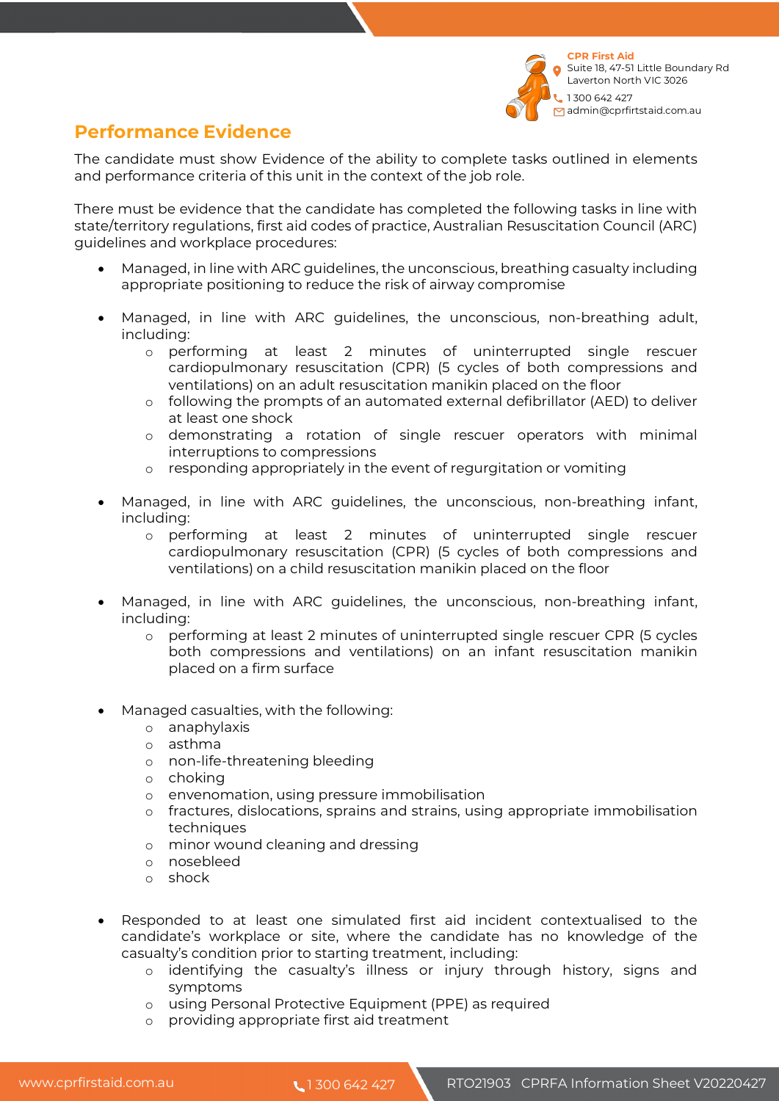

# **Performance Evidence**

The candidate must show Evidence of the ability to complete tasks outlined in elements and performance criteria of this unit in the context of the job role.

There must be evidence that the candidate has completed the following tasks in line with state/territory regulations, first aid codes of practice, Australian Resuscitation Council (ARC) guidelines and workplace procedures:

- Managed, in line with ARC guidelines, the unconscious, breathing casualty including appropriate positioning to reduce the risk of airway compromise
- Managed, in line with ARC guidelines, the unconscious, non-breathing adult, including:
	- o performing at least 2 minutes of uninterrupted single rescuer cardiopulmonary resuscitation (CPR) (5 cycles of both compressions and ventilations) on an adult resuscitation manikin placed on the floor
	- o following the prompts of an automated external defibrillator (AED) to deliver at least one shock
	- o demonstrating a rotation of single rescuer operators with minimal interruptions to compressions
	- o responding appropriately in the event of regurgitation or vomiting
- Managed, in line with ARC guidelines, the unconscious, non-breathing infant, including:
	- o performing at least 2 minutes of uninterrupted single rescuer cardiopulmonary resuscitation (CPR) (5 cycles of both compressions and ventilations) on a child resuscitation manikin placed on the floor
- Managed, in line with ARC guidelines, the unconscious, non-breathing infant, including:
	- o performing at least 2 minutes of uninterrupted single rescuer CPR (5 cycles both compressions and ventilations) on an infant resuscitation manikin placed on a firm surface
- Managed casualties, with the following:
	- o anaphylaxis
	- o asthma
	- o non-life-threatening bleeding
	- o choking
	- o envenomation, using pressure immobilisation
	- o fractures, dislocations, sprains and strains, using appropriate immobilisation techniques
	- o minor wound cleaning and dressing
	- o nosebleed
	- o shock
- Responded to at least one simulated first aid incident contextualised to the candidate's workplace or site, where the candidate has no knowledge of the casualty's condition prior to starting treatment, including:
	- o identifying the casualty's illness or injury through history, signs and symptoms
	- o using Personal Protective Equipment (PPE) as required
	- o providing appropriate first aid treatment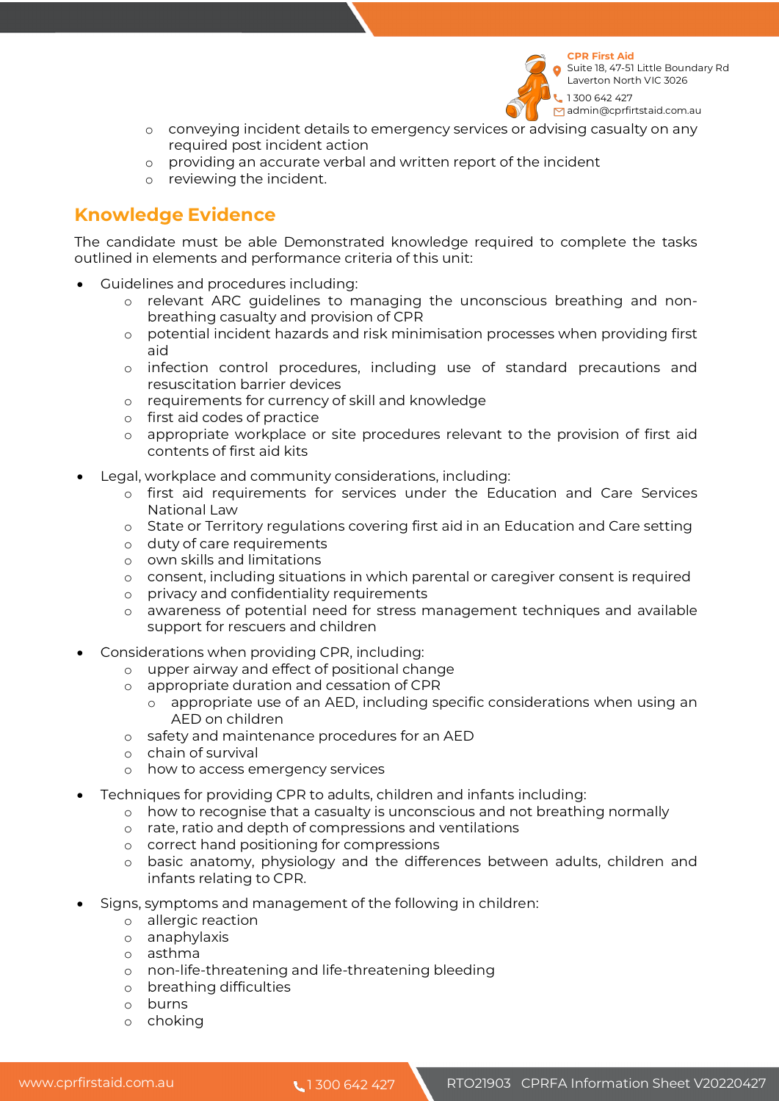

**CPR First Aid**  Suite 18, 47-51 Little Boundary Rd Laverton North VIC 3026

1 300 642 427 dmin@cprfirtstaid.com.au

- o conveying incident details to emergency services or advising casualty on any required post incident action
- o providing an accurate verbal and written report of the incident
- o reviewing the incident.

# **Knowledge Evidence**

The candidate must be able Demonstrated knowledge required to complete the tasks outlined in elements and performance criteria of this unit:

- Guidelines and procedures including:
	- o relevant ARC guidelines to managing the unconscious breathing and nonbreathing casualty and provision of CPR
	- o potential incident hazards and risk minimisation processes when providing first aid
	- o infection control procedures, including use of standard precautions and resuscitation barrier devices
	- o requirements for currency of skill and knowledge
	- o first aid codes of practice
	- o appropriate workplace or site procedures relevant to the provision of first aid contents of first aid kits
- Legal, workplace and community considerations, including:
	- o first aid requirements for services under the Education and Care Services National Law
	- o State or Territory regulations covering first aid in an Education and Care setting
	- o duty of care requirements
	- o own skills and limitations
	- o consent, including situations in which parental or caregiver consent is required
	- o privacy and confidentiality requirements
	- o awareness of potential need for stress management techniques and available support for rescuers and children
- Considerations when providing CPR, including:
	- o upper airway and effect of positional change
	- o appropriate duration and cessation of CPR
		- o appropriate use of an AED, including specific considerations when using an AED on children
	- o safety and maintenance procedures for an AED
	- o chain of survival
	- o how to access emergency services
- Techniques for providing CPR to adults, children and infants including:
	- o how to recognise that a casualty is unconscious and not breathing normally
	- o rate, ratio and depth of compressions and ventilations
	- o correct hand positioning for compressions
	- o basic anatomy, physiology and the differences between adults, children and infants relating to CPR.
- Signs, symptoms and management of the following in children:
	- o allergic reaction
	- o anaphylaxis
	- o asthma
	- o non-life-threatening and life-threatening bleeding
	- o breathing difficulties
	- o burns
	- o choking